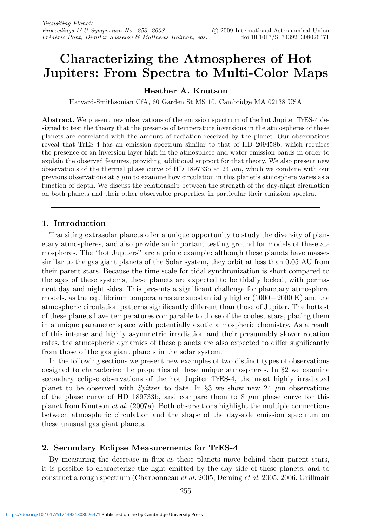# **Characterizing the Atmospheres of Hot Jupiters: From Spectra to Multi-Color Maps**

# **Heather A. Knutson**

Harvard-Smithsonian CfA, 60 Garden St MS 10, Cambridge MA 02138 USA

**Abstract.** We present new observations of the emission spectrum of the hot Jupiter TrES-4 designed to test the theory that the presence of temperature inversions in the atmospheres of these planets are correlated with the amount of radiation received by the planet. Our observations reveal that TrES-4 has an emission spectrum similar to that of HD 209458b, which requires the presence of an inversion layer high in the atmosphere and water emission bands in order to explain the observed features, providing additional support for that theory. We also present new observations of the thermal phase curve of HD 189733b at 24  $\mu$ m, which we combine with our previous observations at  $8 \mu m$  to examine how circulation in this planet's atmosphere varies as a function of depth. We discuss the relationship between the strength of the day-night circulation on both planets and their other observable properties, in particular their emission spectra.

## **1. Introduction**

Transiting extrasolar planets offer a unique opportunity to study the diversity of planetary atmospheres, and also provide an important testing ground for models of these atmospheres. The "hot Jupiters" are a prime example: although these planets have masses similar to the gas giant planets of the Solar system, they orbit at less than 0.05 AU from their parent stars. Because the time scale for tidal synchronization is short compared to the ages of these systems, these planets are expected to be tidally locked, with permanent day and night sides. This presents a significant challenge for planetary atmosphere models, as the equilibrium temperatures are substantially higher  $(1000-2000 \text{ K})$  and the atmospheric circulation patterns significantly different than those of Jupiter. The hottest of these planets have temperatures comparable to those of the coolest stars, placing them in a unique parameter space with potentially exotic atmospheric chemistry. As a result of this intense and highly asymmetric irradiation and their presumably slower rotation rates, the atmospheric dynamics of these planets are also expected to differ significantly from those of the gas giant planets in the solar system.

In the following sections we present new examples of two distinct types of observations designed to characterize the properties of these unique atmospheres. In §2 we examine secondary eclipse observations of the hot Jupiter TrES-4, the most highly irradiated planet to be observed with *Spitzer* to date. In §3 we show new 24  $\mu$ m observations of the phase curve of HD 189733b, and compare them to 8  $\mu$ m phase curve for this planet from Knutson et al. (2007a). Both observations highlight the multiple connections between atmospheric circulation and the shape of the day-side emission spectrum on these unusual gas giant planets.

# **2. Secondary Eclipse Measurements for TrES-4**

By measuring the decrease in flux as these planets move behind their parent stars, it is possible to characterize the light emitted by the day side of these planets, and to construct a rough spectrum (Charbonneau et al. 2005, Deming et al. 2005, 2006, Grillmair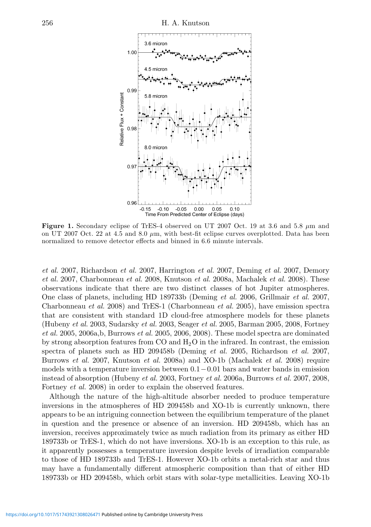

**Figure 1.** Secondary eclipse of TrES-4 observed on UT 2007 Oct. 19 at 3.6 and 5.8 μm and on UT 2007 Oct. 22 at 4.5 and 8.0  $\mu$ m, with best-fit eclipse curves overplotted. Data has been normalized to remove detector effects and binned in 6.6 minute intervals.

et al. 2007, Richardson et al. 2007, Harrington et al. 2007, Deming et al. 2007, Demory et al. 2007, Charbonneau et al. 2008, Knutson et al. 2008a, Machalek et al. 2008). These observations indicate that there are two distinct classes of hot Jupiter atmospheres. One class of planets, including HD 189733b (Deming et al. 2006, Grillmair et al. 2007, Charbonneau et al. 2008) and TrES-1 (Charbonneau et al. 2005), have emission spectra that are consistent with standard 1D cloud-free atmosphere models for these planets (Hubeny et al. 2003, Sudarsky et al. 2003, Seager et al. 2005, Barman 2005, 2008, Fortney et al. 2005, 2006a,b, Burrows et al. 2005, 2006, 2008). These model spectra are dominated by strong absorption features from  $CO$  and  $H_2O$  in the infrared. In contrast, the emission spectra of planets such as HD 209458b (Deming et al. 2005, Richardson et al. 2007, Burrows et al. 2007, Knutson et al. 2008a) and XO-1b (Machalek et al. 2008) require models with a temperature inversion between  $0.1-0.01$  bars and water bands in emission instead of absorption (Hubeny et al. 2003, Fortney et al. 2006a, Burrows et al. 2007, 2008, Fortney *et al.* 2008) in order to explain the observed features.

Although the nature of the high-altitude absorber needed to produce temperature inversions in the atmospheres of HD 209458b and XO-1b is currently unknown, there appears to be an intriguing connection between the equilibrium temperature of the planet in question and the presence or absence of an inversion. HD 209458b, which has an inversion, receives approximately twice as much radiation from its primary as either HD 189733b or TrES-1, which do not have inversions. XO-1b is an exception to this rule, as it apparently possesses a temperature inversion despite levels of irradiation comparable to those of HD 189733b and TrES-1. However XO-1b orbits a metal-rich star and thus may have a fundamentally different atmospheric composition than that of either HD 189733b or HD 209458b, which orbit stars with solar-type metallicities. Leaving XO-1b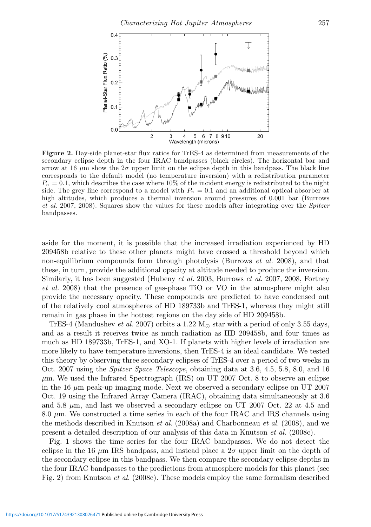

**Figure 2.** Day-side planet-star flux ratios for TrES-4 as determined from measurements of the secondary eclipse depth in the four IRAC bandpasses (black circles). The horizontal bar and arrow at 16  $\mu$ m show the  $2\sigma$  upper limit on the eclipse depth in this bandpass. The black line corresponds to the default model (no temperature inversion) with a redistribution parameter  $P_n = 0.1$ , which describes the case where 10% of the incident energy is redistributed to the night side. The grey line correspond to a model with  $P_n = 0.1$  and an additional optical absorber at high altitudes, which produces a thermal inversion around pressures of 0.001 bar (Burrows et al. 2007, 2008). Squares show the values for these models after integrating over the Spitzer bandpasses.

aside for the moment, it is possible that the increased irradiation experienced by HD 209458b relative to these other planets might have crossed a threshold beyond which non-equilibrium compounds form through photolysis (Burrows *et al.* 2008), and that these, in turn, provide the additional opacity at altitude needed to produce the inversion. Similarly, it has been suggested (Hubeny *et al.* 2003, Burrows *et al.* 2007, 2008, Fortney et al. 2008) that the presence of gas-phase TiO or VO in the atmosphere might also provide the necessary opacity. These compounds are predicted to have condensed out of the relatively cool atmospheres of HD 189733b and TrES-1, whereas they might still remain in gas phase in the hottest regions on the day side of HD 209458b.

TrES-4 (Mandushev *et al.* 2007) orbits a 1.22  $M_{\odot}$  star with a period of only 3.55 days, and as a result it receives twice as much radiation as HD 209458b, and four times as much as HD 189733b, TrES-1, and XO-1. If planets with higher levels of irradiation are more likely to have temperature inversions, then TrES-4 is an ideal candidate. We tested this theory by observing three secondary eclipses of TrES-4 over a period of two weeks in Oct. 2007 using the *Spitzer Space Telescope*, obtaining data at 3.6, 4.5, 5.8, 8.0, and 16  $\mu$ m. We used the Infrared Spectrograph (IRS) on UT 2007 Oct. 8 to observe an eclipse in the 16  $\mu$ m peak-up imaging mode. Next we observed a secondary eclipse on UT 2007 Oct. 19 using the Infrared Array Camera (IRAC), obtaining data simultaneously at 3.6 and 5.8  $\mu$ m, and last we observed a secondary eclipse on UT 2007 Oct. 22 at 4.5 and 8.0  $\mu$ m. We constructed a time series in each of the four IRAC and IRS channels using the methods described in Knutson *et al.* (2008a) and Charbonneau *et al.* (2008), and we present a detailed description of our analysis of this data in Knutson et al. (2008c).

Fig. 1 shows the time series for the four IRAC bandpasses. We do not detect the eclipse in the 16  $\mu$ m IRS bandpass, and instead place a  $2\sigma$  upper limit on the depth of the secondary eclipse in this bandpass. We then compare the secondary eclipse depths in the four IRAC bandpasses to the predictions from atmosphere models for this planet (see Fig. 2) from Knutson *et al.* (2008c). These models employ the same formalism described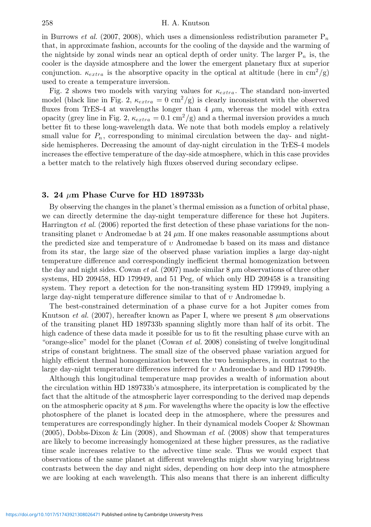#### 258 H. A. Knutson

in Burrows *et al.* (2007, 2008), which uses a dimensionless redistribution parameter  $P_n$ that, in approximate fashion, accounts for the cooling of the dayside and the warming of the nightside by zonal winds near an optical depth of order unity. The larger  $P_n$  is, the cooler is the dayside atmosphere and the lower the emergent planetary flux at superior conjunction.  $\kappa_{extra}$  is the absorptive opacity in the optical at altitude (here in cm<sup>2</sup>/g) used to create a temperature inversion.

Fig. 2 shows two models with varying values for  $\kappa_{extra}$ . The standard non-inverted model (black line in Fig. 2,  $\kappa_{extra} = 0 \text{ cm}^2/\text{g}$ ) is clearly inconsistent with the observed fluxes from TrES-4 at wavelengths longer than  $4 \mu m$ , whereas the model with extra opacity (grey line in Fig. 2,  $\kappa_{extra} = 0.1 \text{ cm}^2/\text{g}$ ) and a thermal inversion provides a much better fit to these long-wavelength data. We note that both models employ a relatively small value for  $P_n$ , corresponding to minimal circulation between the day- and nightside hemispheres. Decreasing the amount of day-night circulation in the TrES-4 models increases the effective temperature of the day-side atmosphere, which in this case provides a better match to the relatively high fluxes observed during secondary eclipse.

### **3. 24** μ**m Phase Curve for HD 189733b**

By observing the changes in the planet's thermal emission as a function of orbital phase, we can directly determine the day-night temperature difference for these hot Jupiters. Harrington *et al.* (2006) reported the first detection of these phase variations for the nontransiting planet v Andromedae b at 24  $\mu$ m. If one makes reasonable assumptions about the predicted size and temperature of  $\nu$  Andromedae b based on its mass and distance from its star, the large size of the observed phase variation implies a large day-night temperature difference and correspondingly inefficient thermal homogenization between the day and night sides. Cowan *et al.* (2007) made similar  $8 \mu$ m observations of three other systems, HD 209458, HD 179949, and 51 Peg, of which only HD 209458 is a transiting system. They report a detection for the non-transiting system HD 179949, implying a large day-night temperature difference similar to that of  $v$  Andromedae b.

The best-constrained determination of a phase curve for a hot Jupiter comes from Knutson et al. (2007), hereafter known as Paper I, where we present  $8 \mu m$  observations of the transiting planet HD 189733b spanning slightly more than half of its orbit. The high cadence of these data made it possible for us to fit the resulting phase curve with an "orange-slice" model for the planet (Cowan et al. 2008) consisting of twelve longitudinal strips of constant brightness. The small size of the observed phase variation argued for highly efficient thermal homogenization between the two hemispheres, in contrast to the large day-night temperature differences inferred for  $v$  Andromedae b and HD 179949b.

Although this longitudinal temperature map provides a wealth of information about the circulation within HD 189733b's atmosphere, its interpretation is complicated by the fact that the altitude of the atmospheric layer corresponding to the derived map depends on the atmospheric opacity at  $8 \mu$ m. For wavelengths where the opacity is low the effective photosphere of the planet is located deep in the atmosphere, where the pressures and temperatures are correspondingly higher. In their dynamical models Cooper & Showman (2005), Dobbs-Dixon & Lin (2008), and Showman *et al.* (2008) show that temperatures are likely to become increasingly homogenized at these higher pressures, as the radiative time scale increases relative to the advective time scale. Thus we would expect that observations of the same planet at different wavelengths might show varying brightness contrasts between the day and night sides, depending on how deep into the atmosphere we are looking at each wavelength. This also means that there is an inherent difficulty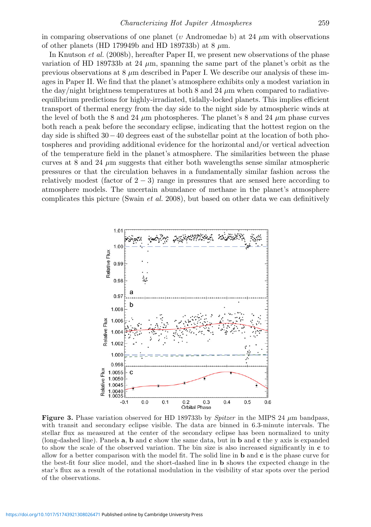in comparing observations of one planet (v Andromedae b) at 24  $\mu$ m with observations of other planets (HD 179949b and HD 189733b) at 8  $\mu$ m.

In Knutson et al. (2008b), hereafter Paper II, we present new observations of the phase variation of HD 189733b at 24  $\mu$ m, spanning the same part of the planet's orbit as the previous observations at 8 μm described in Paper I. We describe our analysis of these images in Paper II. We find that the planet's atmosphere exhibits only a modest variation in the day/night brightness temperatures at both 8 and 24  $\mu$ m when compared to radiativeequilibrium predictions for highly-irradiated, tidally-locked planets. This implies efficient transport of thermal energy from the day side to the night side by atmospheric winds at the level of both the 8 and 24  $\mu$ m photospheres. The planet's 8 and 24  $\mu$ m phase curves both reach a peak before the secondary eclipse, indicating that the hottest region on the day side is shifted 30−40 degrees east of the substellar point at the location of both photospheres and providing additional evidence for the horizontal and/or vertical advection of the temperature field in the planet's atmosphere. The similarities between the phase curves at 8 and 24  $\mu$ m suggests that either both wavelengths sense similar atmospheric pressures or that the circulation behaves in a fundamentally similar fashion across the relatively modest (factor of  $2 - 3$ ) range in pressures that are sensed here according to atmosphere models. The uncertain abundance of methane in the planet's atmosphere complicates this picture (Swain et al. 2008), but based on other data we can definitively



**Figure 3.** Phase variation observed for HD 189733b by *Spitzer* in the MIPS 24  $\mu$ m bandpass, with transit and secondary eclipse visible. The data are binned in 6.3-minute intervals. The stellar flux as measured at the center of the secondary eclipse has been normalized to unity (long-dashed line). Panels **a**, **b** and **c** show the same data, but in **b** and **c** the y axis is expanded to show the scale of the observed variation. The bin size is also increased significantly in **c** to allow for a better comparison with the model fit. The solid line in **b** and **c** is the phase curve for the best-fit four slice model, and the short-dashed line in **b** shows the expected change in the star's flux as a result of the rotational modulation in the visibility of star spots over the period of the observations.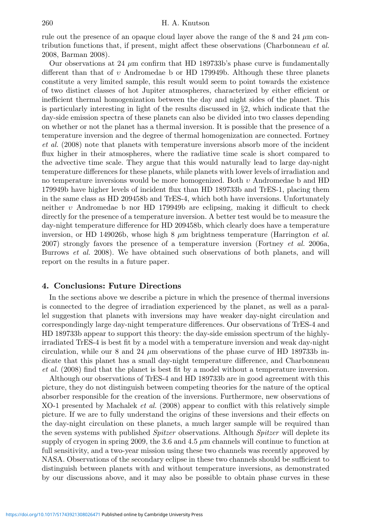rule out the presence of an opaque cloud layer above the range of the  $8$  and  $24 \mu$ m contribution functions that, if present, might affect these observations (Charbonneau et al. 2008, Barman 2008).

Our observations at 24  $\mu$ m confirm that HD 189733b's phase curve is fundamentally different than that of υ Andromedae b or HD 179949b. Although these three planets constitute a very limited sample, this result would seem to point towards the existence of two distinct classes of hot Jupiter atmospheres, characterized by either efficient or inefficient thermal homogenization between the day and night sides of the planet. This is particularly interesting in light of the results discussed in §2, which indicate that the day-side emission spectra of these planets can also be divided into two classes depending on whether or not the planet has a thermal inversion. It is possible that the presence of a temperature inversion and the degree of thermal homogenization are connected. Fortney et al. (2008) note that planets with temperature inversions absorb more of the incident flux higher in their atmospheres, where the radiative time scale is short compared to the advective time scale. They argue that this would naturally lead to large day-night temperature differences for these planets, while planets with lower levels of irradiation and no temperature inversions would be more homogenized. Both  $v$  Andromedae b and HD 179949b have higher levels of incident flux than HD 189733b and TrES-1, placing them in the same class as HD 209458b and TrES-4, which both have inversions. Unfortunately neither υ Andromedae b nor HD 179949b are eclipsing, making it difficult to check directly for the presence of a temperature inversion. A better test would be to measure the day-night temperature difference for HD 209458b, which clearly does have a temperature inversion, or HD 149026b, whose high 8  $\mu$ m brightness temperature (Harrington *et al.*) 2007) strongly favors the presence of a temperature inversion (Fortney  $et \ al.$  2006a, Burrows et al. 2008). We have obtained such observations of both planets, and will report on the results in a future paper.

### **4. Conclusions: Future Directions**

In the sections above we describe a picture in which the presence of thermal inversions is connected to the degree of irradiation experienced by the planet, as well as a parallel suggestion that planets with inversions may have weaker day-night circulation and correspondingly large day-night temperature differences. Our observations of TrES-4 and HD 189733b appear to support this theory: the day-side emission spectrum of the highlyirradiated TrES-4 is best fit by a model with a temperature inversion and weak day-night circulation, while our 8 and 24  $\mu$ m observations of the phase curve of HD 189733b indicate that this planet has a small day-night temperature difference, and Charbonneau et al. (2008) find that the planet is best fit by a model without a temperature inversion.

Although our observations of TrES-4 and HD 189733b are in good agreement with this picture, they do not distinguish between competing theories for the nature of the optical absorber responsible for the creation of the inversions. Furthermore, new observations of XO-1 presented by Machalek et al. (2008) appear to conflict with this relatively simple picture. If we are to fully understand the origins of these inversions and their effects on the day-night circulation on these planets, a much larger sample will be required than the seven systems with published *Spitzer* observations. Although *Spitzer* will deplete its supply of cryogen in spring 2009, the 3.6 and 4.5  $\mu$ m channels will continue to function at full sensitivity, and a two-year mission using these two channels was recently approved by NASA. Observations of the secondary eclipse in these two channels should be sufficient to distinguish between planets with and without temperature inversions, as demonstrated by our discussions above, and it may also be possible to obtain phase curves in these